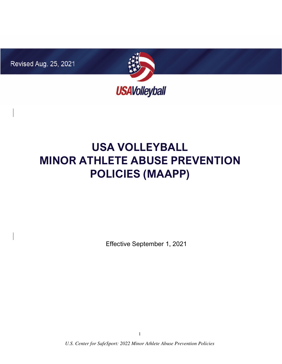Revised Aug. 25, 2021



# **USA VOLLEYBALL MINOR ATHLETE ABUSE PREVENTION POLICIES (MAAPP)**

Effective September 1, 2021

*U.S. Center for SafeSport: 2022 Minor Athlete Abuse Prevention Policies*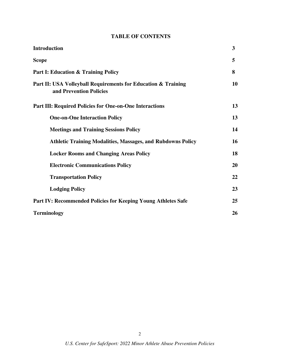## **TABLE OF CONTENTS**

| <b>Introduction</b>                                                                      | 3  |
|------------------------------------------------------------------------------------------|----|
| <b>Scope</b>                                                                             | 5  |
| <b>Part I: Education &amp; Training Policy</b>                                           | 8  |
| Part II: USA Volleyball Requirements for Education & Training<br>and Prevention Policies | 10 |
| <b>Part III: Required Policies for One-on-One Interactions</b>                           | 13 |
| <b>One-on-One Interaction Policy</b>                                                     | 13 |
| <b>Meetings and Training Sessions Policy</b>                                             | 14 |
| <b>Athletic Training Modalities, Massages, and Rubdowns Policy</b>                       | 16 |
| <b>Locker Rooms and Changing Areas Policy</b>                                            | 18 |
| <b>Electronic Communications Policy</b>                                                  | 20 |
| <b>Transportation Policy</b>                                                             | 22 |
| <b>Lodging Policy</b>                                                                    | 23 |
| Part IV: Recommended Policies for Keeping Young Athletes Safe                            | 25 |
| <b>Terminology</b>                                                                       |    |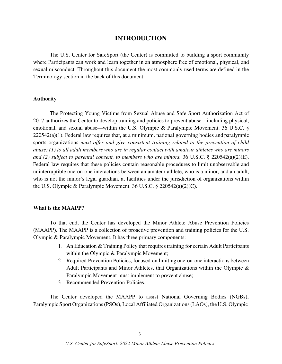#### **INTRODUCTION**

The U.S. Center for SafeSport (the Center) is committed to building a sport community where Participants can work and learn together in an atmosphere free of emotional, physical, and sexual misconduct. Throughout this document the most commonly used terms are defined in the Terminology section in the back of this document.

#### **Authority**

The Protecting Young Victims from Sexual Abuse and Safe Sport Authorization Act of 2017 authorizes the Center to develop training and policies to prevent abuse—including physical, emotional, and sexual abuse—within the U.S. Olympic & Paralympic Movement. 36 U.S.C. § 220542(a)(1). Federal law requires that, at a minimum, national governing bodies and paralympic sports organizations *must offer and give consistent training related to the prevention of child abuse: (1) to all adult members who are in regular contact with amateur athletes who are minors and (2) subject to parental consent, to members who are minors.* 36 U.S.C. § 220542(a)(2)(E). Federal law requires that these policies contain reasonable procedures to limit unobservable and uninterruptible one-on-one interactions between an amateur athlete, who is a minor, and an adult, who is not the minor's legal guardian, at facilities under the jurisdiction of organizations within the U.S. Olympic & Paralympic Movement. 36 U.S.C. § 220542(a)(2)(C).

#### **What is the MAAPP?**

To that end, the Center has developed the Minor Athlete Abuse Prevention Policies (MAAPP). The MAAPP is a collection of proactive prevention and training policies for the U.S. Olympic & Paralympic Movement. It has three primary components:

- 1. An Education & Training Policy that requires training for certain Adult Participants within the Olympic & Paralympic Movement;
- 2. Required Prevention Policies, focused on limiting one-on-one interactions between Adult Participants and Minor Athletes, that Organizations within the Olympic & Paralympic Movement must implement to prevent abuse;
- 3. Recommended Prevention Policies.

The Center developed the MAAPP to assist National Governing Bodies (NGBs), Paralympic Sport Organizations (PSOs), Local Affiliated Organizations (LAOs), the U.S. Olympic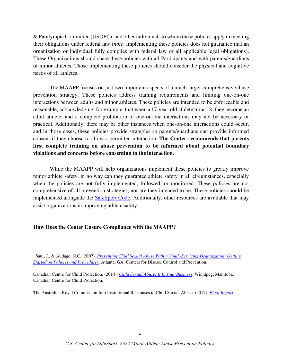& Paralympic Committee (USOPC), and other individuals to whom these policies apply in meeting their obligations under federal law (*note*: implementing these policies does not guarantee that an organization or individual fully complies with federal law or all applicable legal obligations). These Organizations should share these policies with all Participants and with parents/guardians of minor athletes. Those implementing these policies should consider the physical and cognitive needs of all athletes.

The MAAPP focuses on just two important aspects of a much larger comprehensive abuse prevention strategy. These policies address training requirements and limiting one-on-one interactions between adults and minor athletes. These policies are intended to be enforceable and reasonable, acknowledging, for example, that when a 17-year-old athlete turns 18, they become an adult athlete, and a complete prohibition of one-on-one interactions may not be necessary or practical. Additionally, there may be other instances when one-on-one interactions could occur, and in those cases, these policies provide strategies so parents/guardians can provide informed consent if they choose to allow a permitted interaction. **The Center recommends that parents first complete training on abuse prevention to be informed about potential boundary violations and concerns before consenting to the interaction.** 

While the MAAPP will help organizations implement these policies to greatly improve minor athlete safety, in no way can they guarantee athlete safety in all circumstances, especially when the policies are not fully implemented, followed, or monitored. These policies are not comprehensive of all prevention strategies, nor are they intended to be. These policies should be implemented alongside the SafeSport Code. Additionally, other resources are available that may assist organizations in improving athlete safety<sup>1</sup>.

#### **How Does the Center Ensure Compliance with the MAAPP?**

Canadian Centre for Child Protection. (2014). *Child Sexual Abuse: It Is Your Business*. Winnipeg, Manitoba: Canadian Centre for Child Protection.

The Australian Royal Commission Into Institutional Responses to Child Sexual Abuse. (2017). *Final Report*.

<sup>1</sup>Saul, J., & Audage, N.C. (2007). *Preventing Child Sexual Abuse Within Youth-Servicing Organization: Getting Started on Policies and Procedures*. Atlanta, GA: Centers for Disease Control and Prevention.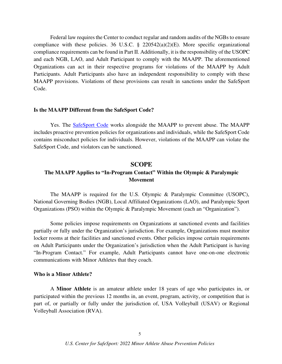Federal law requires the Center to conduct regular and random audits of the NGBs to ensure compliance with these policies. 36 U.S.C. § 220542(a)(2)(E). More specific organizational compliance requirements can be found in Part II. Additionally, it is the responsibility of the USOPC and each NGB, LAO, and Adult Participant to comply with the MAAPP. The aforementioned Organizations can act in their respective programs for violations of the MAAPP by Adult Participants. Adult Participants also have an independent responsibility to comply with these MAAPP provisions. Violations of these provisions can result in sanctions under the SafeSport Code.

#### **Is the MAAPP Different from the SafeSport Code?**

Yes. The SafeSport Code works alongside the MAAPP to prevent abuse. The MAAPP includes proactive prevention policies for organizations and individuals, while the SafeSport Code contains misconduct policies for individuals. However, violations of the MAAPP can violate the SafeSport Code, and violators can be sanctioned.

#### **SCOPE**

## **The MAAPP Applies to "In-Program Contact" Within the Olympic & Paralympic Movement**

The MAAPP is required for the U.S. Olympic & Paralympic Committee (USOPC), National Governing Bodies (NGB), Local Affiliated Organizations (LAO), and Paralympic Sport Organizations (PSO) within the Olympic & Paralympic Movement (each an "Organization").

Some policies impose requirements on Organizations at sanctioned events and facilities partially or fully under the Organization's jurisdiction. For example, Organizations must monitor locker rooms at their facilities and sanctioned events. Other policies impose certain requirements on Adult Participants under the Organization's jurisdiction when the Adult Participant is having "In-Program Contact." For example, Adult Participants cannot have one-on-one electronic communications with Minor Athletes that they coach.

#### **Who is a Minor Athlete?**

A **Minor Athlete** is an amateur athlete under 18 years of age who participates in, or participated within the previous 12 months in, an event, program, activity, or competition that is part of, or partially or fully under the jurisdiction of, USA Volleyball (USAV) or Regional Volleyball Association (RVA).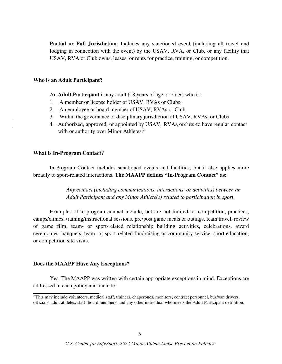**Partial or Full Jurisdiction**: Includes any sanctioned event (including all travel and lodging in connection with the event) by the USAV, RVA, or Club, or any facility that USAV, RVA or Club owns, leases, or rents for practice, training, or competition.

#### **Who is an Adult Participant?**

An **Adult Participant** is any adult (18 years of age or older) who is:

- 1. A member or license holder of USAV, RVAs or Clubs;
- 2. An employee or board member of USAV, RVAs or Club
- 3. Within the governance or disciplinary jurisdiction of USAV, RVAs, or Clubs
- 4. Authorized, approved, or appointed by USAV, RVAs, or clubs to have regular contact with or authority over Minor Athletes.<sup>2</sup>

#### **What is In-Program Contact?**

In-Program Contact includes sanctioned events and facilities, but it also applies more broadly to sport-related interactions. **The MAAPP defines "In-Program Contact" as**:

> *Any contact (including communications, interactions, or activities) between an Adult Participant and any Minor Athlete(s) related to participation in sport.*

Examples of in-program contact include, but are not limited to: competition, practices, camps/clinics, training/instructional sessions, pre/post game meals or outings, team travel, review of game film, team- or sport-related relationship building activities, celebrations, award ceremonies, banquets, team- or sport-related fundraising or community service, sport education, or competition site visits.

#### **Does the MAAPP Have Any Exceptions?**

Yes. The MAAPP was written with certain appropriate exceptions in mind. Exceptions are addressed in each policy and include:

<sup>&</sup>lt;sup>2</sup>This may include volunteers, medical staff, trainers, chaperones, monitors, contract personnel, bus/van drivers, officials, adult athletes, staff, board members, and any other individual who meets the Adult Participant definition.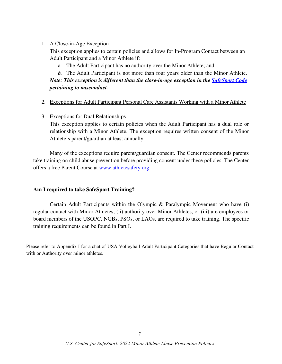#### 1. A Close-in-Age Exception

This exception applies to certain policies and allows for In-Program Contact between an Adult Participant and a Minor Athlete if:

a. The Adult Participant has no authority over the Minor Athlete; and

## *b.* The Adult Participant is not more than four years older than the Minor Athlete. *Note: This exception is different than the close-in-age exception in the SafeSport Code pertaining to misconduct.*

2. Exceptions for Adult Participant Personal Care Assistants Working with a Minor Athlete

#### 3. Exceptions for Dual Relationships

This exception applies to certain policies when the Adult Participant has a dual role or relationship with a Minor Athlete. The exception requires written consent of the Minor Athlete's parent/guardian at least annually.

Many of the exceptions require parent/guardian consent. The Center recommends parents take training on child abuse prevention before providing consent under these policies. The Center offers a free Parent Course at www.athletesafety.org.

#### **Am I required to take SafeSport Training?**

Certain Adult Participants within the Olympic & Paralympic Movement who have (i) regular contact with Minor Athletes, (ii) authority over Minor Athletes, or (iii) are employees or board members of the USOPC, NGBs, PSOs, or LAOs, are required to take training. The specific training requirements can be found in Part I.

Please refer to Appendix I for a chat of USA Volleyball Adult Participant Categories that have Regular Contact with or Authority over minor athletes.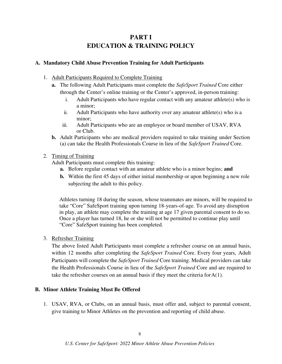# **PART I EDUCATION & TRAINING POLICY**

#### **A. Mandatory Child Abuse Prevention Training for Adult Participants**

- 1. Adult Participants Required to Complete Training
	- **a.** The following Adult Participants must complete the *SafeSport Trained* Core either through the Center's online training or the Center's approved, in-person training:
		- i. Adult Participants who have regular contact with any amateur athlete(s) who is a minor;
		- ii. Adult Participants who have authority over any amateur athlete(s) who is a minor;
		- iii. Adult Participants who are an employee or board member of USAV, RVA or Club.
	- **b.** Adult Participants who are medical providers required to take training under Section (a) can take the Health Professionals Course in lieu of the *SafeSport Trained* Core.
- 2. Timing of Training

Adult Participants must complete this training:

- **a.** Before regular contact with an amateur athlete who is a minor begins; **and**
- **b.** Within the first 45 days of either initial membership or upon beginning a new role subjecting the adult to this policy.

Athletes turning 18 during the season, whose teammates are minors, will be required to take "Core" SafeSport training upon turning 18-years-of-age. To avoid any disruption in play, an athlete may complete the training at age 17 given parental consent to do so. Once a player has turned 18, he or she will not be permitted to continue play until "Core" SafeSport training has been completed.

3. Refresher Training

The above listed Adult Participants must complete a refresher course on an annual basis, within 12 months after completing the *SafeSport Trained* Core. Every four years, Adult Participants will complete the *SafeSport Trained* Core training. Medical providers can take the Health Professionals Course in lieu of the *SafeSport Trained* Core and are required to take the refresher courses on an annual basis if they meet the criteria for A(1).

#### **B. Minor Athlete Training Must Be Offered**

1. USAV, RVA, or Clubs, on an annual basis, must offer and, subject to parental consent, give training to Minor Athletes on the prevention and reporting of child abuse.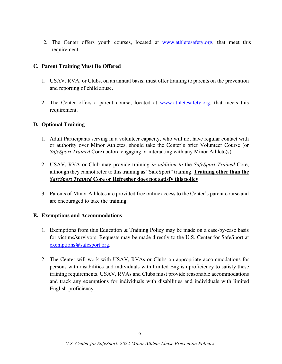2. The Center offers youth courses, located at www.athletesafety.org, that meet this requirement.

#### **C. Parent Training Must Be Offered**

- 1. USAV, RVA, or Clubs, on an annual basis, must offer training to parents on the prevention and reporting of child abuse.
- 2. The Center offers a parent course, located at www.athletesafety.org, that meets this requirement.

#### **D. Optional Training**

- 1. Adult Participants serving in a volunteer capacity, who will not have regular contact with or authority over Minor Athletes, should take the Center's brief Volunteer Course (or *SafeSport Trained* Core) before engaging or interacting with any Minor Athlete(s).
- 2. USAV, RVA or Club may provide training *in addition to* the *SafeSport Trained* Core, although they cannot refer to this training as "SafeSport" training. **Training other than the**  *SafeSport Trained* **Core or Refresher does not satisfy this policy**.
- 3. Parents of Minor Athletes are provided free online access to the Center's parent course and are encouraged to take the training.

#### **E. Exemptions and Accommodations**

- 1. Exemptions from this Education & Training Policy may be made on a case-by-case basis for victims/survivors. Requests may be made directly to the U.S. Center for SafeSport at exemptions@safesport.org.
- 2. The Center will work with USAV, RVAs or Clubs on appropriate accommodations for persons with disabilities and individuals with limited English proficiency to satisfy these training requirements. USAV, RVAs and Clubs must provide reasonable accommodations and track any exemptions for individuals with disabilities and individuals with limited English proficiency.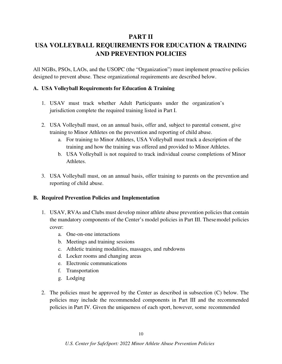## **PART II**

# **USA VOLLEYBALL REQUIREMENTS FOR EDUCATION & TRAINING AND PREVENTION POLICIES**

All NGBs, PSOs, LAOs, and the USOPC (the "Organization") must implement proactive policies designed to prevent abuse. These organizational requirements are described below.

#### **A. USA Volleyball Requirements for Education & Training**

- 1. USAV must track whether Adult Participants under the organization's jurisdiction complete the required training listed in Part I.
- 2. USA Volleyball must, on an annual basis, offer and, subject to parental consent, give training to Minor Athletes on the prevention and reporting of child abuse.
	- a. For training to Minor Athletes, USA Volleyball must track a description of the training and how the training was offered and provided to Minor Athletes.
	- b. USA Volleyball is not required to track individual course completions of Minor Athletes.
- 3. USA Volleyball must, on an annual basis, offer training to parents on the prevention and reporting of child abuse.

#### **B. Required Prevention Policies and Implementation**

- 1. USAV, RVAs and Clubs must develop minor athlete abuse prevention policies that contain the mandatory components of the Center's model policies in Part III. These model policies cover:
	- a. One-on-one interactions
	- b. Meetings and training sessions
	- c. Athletic training modalities, massages, and rubdowns
	- d. Locker rooms and changing areas
	- e. Electronic communications
	- f. Transportation
	- g. Lodging
- 2. The policies must be approved by the Center as described in subsection (C) below. The policies may include the recommended components in Part III and the recommended policies in Part IV. Given the uniqueness of each sport, however, some recommended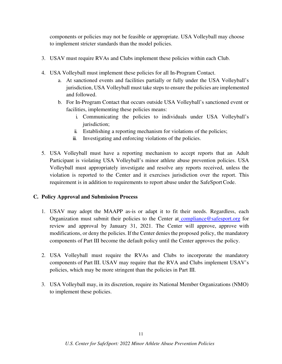components or policies may not be feasible or appropriate. USA Volleyball may choose to implement stricter standards than the model policies.

- 3. USAV must require RVAs and Clubs implement these policies within each Club.
- 4. USA Volleyball must implement these policies for all In-Program Contact.
	- a. At sanctioned events and facilities partially or fully under the USA Volleyball's jurisdiction, USA Volleyball must take steps to ensure the policies are implemented and followed.
	- b. For In-Program Contact that occurs outside USA Volleyball's sanctioned event or facilities, implementing these policies means:
		- i. Communicating the policies to individuals under USA Volleyball's jurisdiction;
		- ii. Establishing a reporting mechanism for violations of the policies;
		- iii. Investigating and enforcing violations of the policies.
- 5. USA Volleyball must have a reporting mechanism to accept reports that an Adult Participant is violating USA Volleyball's minor athlete abuse prevention policies. USA Volleyball must appropriately investigate and resolve any reports received, unless the violation is reported to the Center and it exercises jurisdiction over the report. This requirement is in addition to requirements to report abuse under the SafeSport Code.

#### **C. Policy Approval and Submission Process**

- 1. USAV may adopt the MAAPP as-is or adapt it to fit their needs. Regardless, each Organization must submit their policies to the Center at compliance@safesport.org for review and approval by January 31, 2021. The Center will approve, approve with modifications, or deny the policies. If the Center denies the proposed policy, the mandatory components of Part III become the default policy until the Center approves the policy.
- 2. USA Volleyball must require the RVAs and Clubs to incorporate the mandatory components of Part III. USAV may require that the RVA and Clubs implement USAV's policies, which may be more stringent than the policies in Part III.
- 3. USA Volleyball may, in its discretion, require its National Member Organizations (NMO) to implement these policies.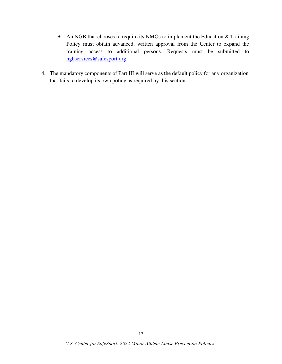- An NGB that chooses to require its NMOs to implement the Education & Training Policy must obtain advanced, written approval from the Center to expand the training access to additional persons. Requests must be submitted to ngbservices@safesport.org.
- 4. The mandatory components of Part III will serve as the default policy for any organization that fails to develop its own policy as required by this section.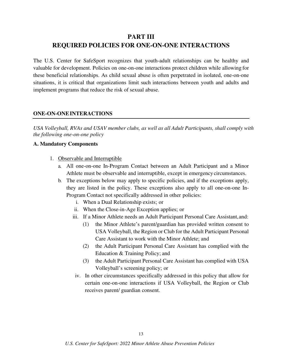# **PART III REQUIRED POLICIES FOR ONE-ON-ONE INTERACTIONS**

The U.S. Center for SafeSport recognizes that youth-adult relationships can be healthy and valuable for development. Policies on one-on-one interactions protect children while allowing for these beneficial relationships. As child sexual abuse is often perpetrated in isolated, one-on-one situations, it is critical that organizations limit such interactions between youth and adults and implement programs that reduce the risk of sexual abuse.

#### **ONE-ON-ONE INTERACTIONS**

*USA Volleyball, RVAs and USAV member clubs, as well as all Adult Participants, shall comply with the following one-on-one policy* 

#### **A. Mandatory Components**

- 1. Observable and Interruptible
	- a. All one-on-one In-Program Contact between an Adult Participant and a Minor Athlete must be observable and interruptible, except in emergency circumstances.
	- b. The exceptions below may apply to specific policies, and if the exceptions apply, they are listed in the policy. These exceptions also apply to all one-on-one In-Program Contact not specifically addressed in other policies:
		- i. When a Dual Relationship exists; or
		- ii. When the Close-in-Age Exception applies; or
		- iii. If a Minor Athlete needs an Adult Participant Personal Care Assistant, and:
			- (1) the Minor Athlete's parent/guardian has provided written consent to USA Volleyball, the Region or Club for the Adult Participant Personal Care Assistant to work with the Minor Athlete; and
			- (2) the Adult Participant Personal Care Assistant has complied with the Education & Training Policy; and
			- (3) the Adult Participant Personal Care Assistant has complied with USA Volleyball's screening policy; or
		- iv. In other circumstances specifically addressed in this policy that allow for certain one-on-one interactions if USA Volleyball, the Region or Club receives parent/ guardian consent.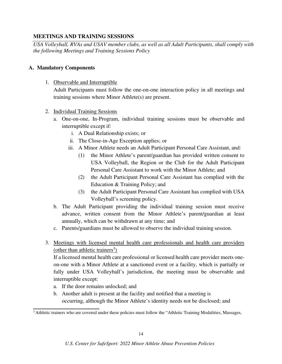#### **MEETINGS AND TRAINING SESSIONS**

*USA Volleyball, RVAs and USAV member clubs, as well as all Adult Participants, shall comply with the following Meetings and Training Sessions Policy*

#### **A. Mandatory Components**

1. Observable and Interruptible

Adult Participants must follow the one-on-one interaction policy in all meetings and training sessions where Minor Athlete(s) are present.

- 2. Individual Training Sessions
	- a. One-on-one, In-Program, individual training sessions must be observable and interruptible except if:
		- i. A Dual Relationship exists; or
		- ii. The Close-in-Age Exception applies; or
		- iii. A Minor Athlete needs an Adult Participant Personal Care Assistant, and:
			- (1) the Minor Athlete's parent/guardian has provided written consent to USA Volleyball, the Region or the Club for the Adult Participant Personal Care Assistant to work with the Minor Athlete; and
			- (2) the Adult Participant Personal Care Assistant has complied with the Education & Training Policy; and
			- (3) the Adult Participant Personal Care Assistant has complied with USA Volleyball's screening policy.
	- b. The Adult Participant providing the individual training session must receive advance, written consent from the Minor Athlete's parent/guardian at least annually, which can be withdrawn at any time; and
	- c. Parents/guardians must be allowed to observe the individual training session.
- 3. Meetings with licensed mental health care professionals and health care providers (other than athletic trainers<sup>3</sup>)

If a licensed mental health care professional or licensed health care provider meets oneon-one with a Minor Athlete at a sanctioned event or a facility, which is partially or fully under USA Volleyball's jurisdiction, the meeting must be observable and interruptible except:

- a. If the door remains unlocked; and
- b. Another adult is present at the facility and notified that a meeting is occurring, although the Minor Athlete's identity needs not be disclosed; and

<sup>&</sup>lt;sup>3</sup> Athletic trainers who are covered under these policies must follow the "Athletic Training Modalities, Massages,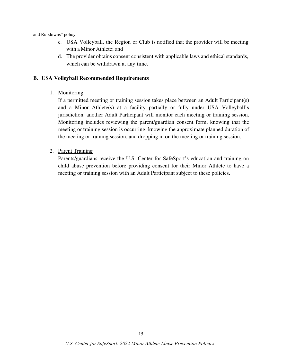and Rubdowns" policy.

- c. USA Volleyball, the Region or Club is notified that the provider will be meeting with a Minor Athlete; and
- d. The provider obtains consent consistent with applicable laws and ethical standards, which can be withdrawn at any time.

#### **B. USA Volleyball Recommended Requirements**

1. Monitoring

If a permitted meeting or training session takes place between an Adult Participant(s) and a Minor Athlete(s) at a facility partially or fully under USA Volleyball's jurisdiction, another Adult Participant will monitor each meeting or training session. Monitoring includes reviewing the parent/guardian consent form, knowing that the meeting or training session is occurring, knowing the approximate planned duration of the meeting or training session, and dropping in on the meeting or training session.

2. Parent Training

Parents/guardians receive the U.S. Center for SafeSport's education and training on child abuse prevention before providing consent for their Minor Athlete to have a meeting or training session with an Adult Participant subject to these policies.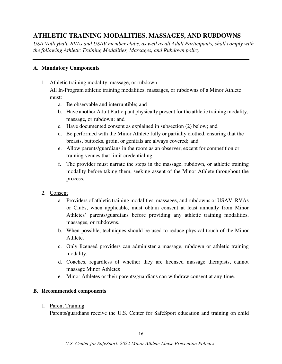# **ATHLETIC TRAINING MODALITIES, MASSAGES, AND RUBDOWNS**

*USA Volleyball, RVAs and USAV member clubs, as well as all Adult Participants, shall comply with the following Athletic Training Modalities, Massages, and Rubdown policy* 

#### **A. Mandatory Components**

1. Athletic training modality, massage, or rubdown

All In-Program athletic training modalities, massages, or rubdowns of a Minor Athlete must:

- a. Be observable and interruptible; and
- b. Have another Adult Participant physically present for the athletic training modality, massage, or rubdown; and
- c. Have documented consent as explained in subsection (2) below; and
- d. Be performed with the Minor Athlete fully or partially clothed, ensuring that the breasts, buttocks, groin, or genitals are always covered; and
- e. Allow parents/guardians in the room as an observer, except for competition or training venues that limit credentialing.
- f. The provider must narrate the steps in the massage, rubdown, or athletic training modality before taking them, seeking assent of the Minor Athlete throughout the process.
- 2. Consent
	- a. Providers of athletic training modalities, massages, and rubdowns or USAV, RVAs or Clubs, when applicable, must obtain consent at least annually from Minor Athletes' parents/guardians before providing any athletic training modalities, massages, or rubdowns.
	- b. When possible, techniques should be used to reduce physical touch of the Minor Athlete.
	- c. Only licensed providers can administer a massage, rubdown or athletic training modality.
	- d. Coaches, regardless of whether they are licensed massage therapists, cannot massage Minor Athletes
	- e. Minor Athletes or their parents/guardians can withdraw consent at any time.

#### **B. Recommended components**

#### 1. Parent Training

Parents/guardians receive the U.S. Center for SafeSport education and training on child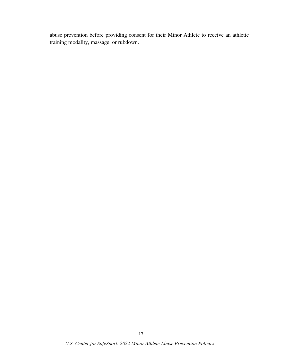abuse prevention before providing consent for their Minor Athlete to receive an athletic training modality, massage, or rubdown.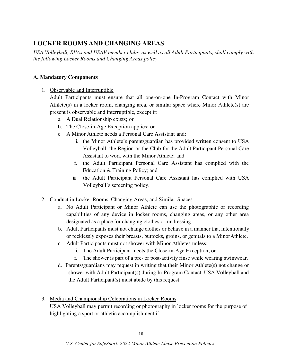# **LOCKER ROOMS AND CHANGING AREAS**

*USA Volleyball, RVAs and USAV member clubs, as well as all Adult Participants, shall comply with the following Locker Rooms and Changing Areas policy* 

## **A. Mandatory Components**

1. Observable and Interruptible

Adult Participants must ensure that all one-on-one In-Program Contact with Minor Athlete(s) in a locker room, changing area, or similar space where Minor Athlete(s) are present is observable and interruptible, except if:

- a. A Dual Relationship exists; or
- b. The Close-in-Age Exception applies; or
- c. A Minor Athlete needs a Personal Care Assistant and:
	- i. the Minor Athlete's parent/guardian has provided written consent to USA Volleyball, the Region or the Club for the Adult Participant Personal Care Assistant to work with the Minor Athlete; and
	- ii. the Adult Participant Personal Care Assistant has complied with the Education & Training Policy; and
	- iii. the Adult Participant Personal Care Assistant has complied with USA Volleyball's screening policy.
- 2. Conduct in Locker Rooms, Changing Areas, and Similar Spaces
	- a. No Adult Participant or Minor Athlete can use the photographic or recording capabilities of any device in locker rooms, changing areas, or any other area designated as a place for changing clothes or undressing.
	- b. Adult Participants must not change clothes or behave in a manner that intentionally or recklessly exposes their breasts, buttocks, groins, or genitals to a Minor Athlete.
	- c. Adult Participants must not shower with Minor Athletes unless:
		- i. The Adult Participant meets the Close-in-Age Exception; or
		- ii. The shower is part of a pre- or post-activity rinse while wearing swimwear.
	- d. Parents/guardians may request in writing that their Minor Athlete(s) not change or shower with Adult Participant(s) during In-Program Contact. USA Volleyball and the Adult Participant(s) must abide by this request.
- 3. Media and Championship Celebrations in Locker Rooms

USA Volleyball may permit recording or photography in locker rooms for the purpose of highlighting a sport or athletic accomplishment if: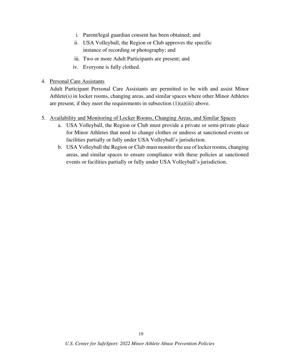- i. Parent/legal guardian consent has been obtained; and
- ii. USA Volleyball, the Region or Club approves the specific instance of recording or photography; and
- iii. Two or more Adult Participants are present; and
- iv. Everyone is fully clothed.
- 4. Personal Care Assistants

Adult Participant Personal Care Assistants are permitted to be with and assist Minor Athlete(s) in locker rooms, changing areas, and similar spaces where other Minor Athletes are present, if they meet the requirements in subsection  $(1)(a)(iii)$  above.

- 5. Availability and Monitoring of Locker Rooms, Changing Areas, and Similar Spaces
	- a. USA Volleyball, the Region or Club must provide a private or semi-private place for Minor Athletes that need to change clothes or undress at sanctioned events or facilities partially or fully under USA Volleyball's jurisdiction.
	- b. USA Volleyball the Region or Club must monitor the use of locker rooms, changing areas, and similar spaces to ensure compliance with these policies at sanctioned events or facilities partially or fully under USA Volleyball's jurisdiction.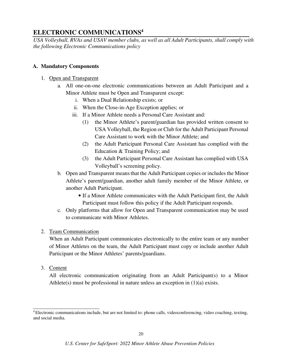# **ELECTRONIC COMMUNICATIONS<sup>4</sup>**

*USA Volleyball, RVAs and USAV member clubs, as well as all Adult Participants, shall comply with the following Electronic Communications policy* 

#### **A. Mandatory Components**

- 1. Open and Transparent
	- a. All one-on-one electronic communications between an Adult Participant and a Minor Athlete must be Open and Transparent except:
		- i. When a Dual Relationship exists; or
		- ii. When the Close-in-Age Exception applies; or
		- iii. If a Minor Athlete needs a Personal Care Assistant and:
			- (1) the Minor Athlete's parent/guardian has provided written consent to USA Volleyball, the Region or Club for the Adult Participant Personal Care Assistant to work with the Minor Athlete; and
			- (2) the Adult Participant Personal Care Assistant has complied with the Education & Training Policy; and
			- (3) the Adult Participant Personal Care Assistant has complied with USA Volleyball's screening policy.
	- b. Open and Transparent means that the Adult Participant copies or includes the Minor Athlete's parent/guardian, another adult family member of the Minor Athlete, or another Adult Participant.
		- If a Minor Athlete communicates with the Adult Participant first, the Adult Participant must follow this policy if the Adult Participant responds.
	- c. Only platforms that allow for Open and Transparent communication may be used to communicate with Minor Athletes.

#### 2. Team Communication

When an Adult Participant communicates electronically to the entire team or any number of Minor Athletes on the team, the Adult Participant must copy or include another Adult Participant or the Minor Athletes' parents/guardians.

3. Content

All electronic communication originating from an Adult Participant(s) to a Minor Athlete(s) must be professional in nature unless an exception in (1)(a) exists.

<sup>&</sup>lt;sup>4</sup> Electronic communications include, but are not limited to: phone calls, videoconferencing, video coaching, texting, and social media.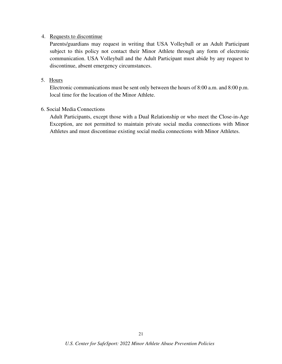#### 4. Requests to discontinue

Parents/guardians may request in writing that USA Volleyball or an Adult Participant subject to this policy not contact their Minor Athlete through any form of electronic communication. USA Volleyball and the Adult Participant must abide by any request to discontinue, absent emergency circumstances.

#### 5. Hours

Electronic communications must be sent only between the hours of 8:00 a.m. and 8:00 p.m. local time for the location of the Minor Athlete.

#### 6. Social Media Connections

Adult Participants, except those with a Dual Relationship or who meet the Close-in-Age Exception, are not permitted to maintain private social media connections with Minor Athletes and must discontinue existing social media connections with Minor Athletes.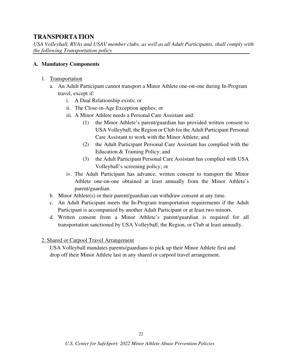# **TRANSPORTATION**

*USA Volleyball, RVAs and USAV member clubs, as well as all Adult Participants, shall comply with the following Transportation policy* 

#### **A. Mandatory Components**

- 1. Transportation
	- a. An Adult Participant cannot transport a Minor Athlete one-on-one during In-Program travel, except if:
		- i. A Dual Relationship exists; or
		- ii. The Close-in-Age Exception applies; or
		- iii. A Minor Athlete needs a Personal Care Assistant and:
			- (1) the Minor Athlete's parent/guardian has provided written consent to USA Volleyball, the Region or Club for the Adult Participant Personal Care Assistant to work with the Minor Athlete; and
			- (2) the Adult Participant Personal Care Assistant has complied with the Education & Training Policy; and
			- (3) the Adult Participant Personal Care Assistant has complied with USA Volleyball's screening policy; or
		- iv. The Adult Participant has advance, written consent to transport the Minor Athlete one-on-one obtained at least annually from the Minor Athlete's parent/guardian.
	- b. Minor Athlete(s) or their parent/guardian can withdraw consent at any time.
	- c. An Adult Participant meets the In-Program transportation requirements if the Adult Participant is accompanied by another Adult Participant or at least two minors.
	- d. Written consent from a Minor Athlete's parent/guardian is required for all transportation sanctioned by USA Volleyball, the Region, or Club at least annually.
- 2. Shared or Carpool Travel Arrangement

USA Volleyball mandates parents/guardians to pick up their Minor Athlete first and drop off their Minor Athlete last in any shared or carpool travel arrangement.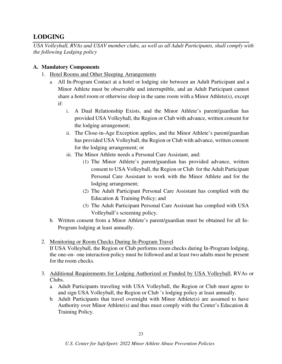# **LODGING**

*USA Volleyball, RVAs and USAV member clubs, as well as all Adult Participants, shall comply with the following Lodging policy* 

## **A. Mandatory Components**

- 1. Hotel Rooms and Other Sleeping Arrangements
	- a. All In-Program Contact at a hotel or lodging site between an Adult Participant and a Minor Athlete must be observable and interruptible, and an Adult Participant cannot share a hotel room or otherwise sleep in the same room with a Minor Athlete(s), except if:
		- i. A Dual Relationship Exists, and the Minor Athlete's parent/guardian has provided USA Volleyball, the Region or Club with advance, written consent for the lodging arrangement;
		- ii. The Close-in-Age Exception applies, and the Minor Athlete's parent/guardian has provided USA Volleyball, the Region or Club with advance, written consent for the lodging arrangement; or
		- iii. The Minor Athlete needs a Personal Care Assistant, and:
			- (1) The Minor Athlete's parent/guardian has provided advance, written consent to USA Volleyball, the Region or Club for the Adult Participant Personal Care Assistant to work with the Minor Athlete and for the lodging arrangement;
			- (2) The Adult Participant Personal Care Assistant has complied with the Education & Training Policy; and
			- (3) The Adult Participant Personal Care Assistant has complied with USA Volleyball's screening policy.
	- b. Written consent from a Minor Athlete's parent/guardian must be obtained for all In-Program lodging at least annually.
- 2. Monitoring or Room Checks During In-Program Travel

If USA Volleyball, the Region or Club performs room checks during In-Program lodging, the one-on- one interaction policy must be followed and at least two adults must be present for the room checks.

- 3. Additional Requirements for Lodging Authorized or Funded by USA Volleyball, RVAs or Clubs.
	- a. Adult Participants traveling with USA Volleyball, the Region or Club must agree to and sign USA Volleyball, the Region or Club 's lodging policy at least annually.
	- b. Adult Participants that travel overnight with Minor Athlete(s) are assumed to have Authority over Minor Athlete(s) and thus must comply with the Center's Education  $\&$ Training Policy.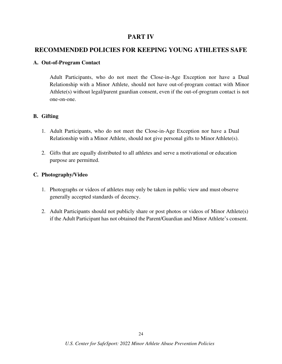## **PART IV**

# **RECOMMENDED POLICIES FOR KEEPING YOUNG ATHLETES SAFE**

#### **A. Out-of-Program Contact**

Adult Participants, who do not meet the Close-in-Age Exception nor have a Dual Relationship with a Minor Athlete, should not have out-of-program contact with Minor Athlete(s) without legal/parent guardian consent, even if the out-of-program contact is not one-on-one.

#### **B. Gifting**

- 1. Adult Participants, who do not meet the Close-in-Age Exception nor have a Dual Relationship with a Minor Athlete, should not give personal gifts to Minor Athlete(s).
- 2. Gifts that are equally distributed to all athletes and serve a motivational or education purpose are permitted.

#### **C. Photography/Video**

- 1. Photographs or videos of athletes may only be taken in public view and must observe generally accepted standards of decency.
- 2. Adult Participants should not publicly share or post photos or videos of Minor Athlete(s) if the Adult Participant has not obtained the Parent/Guardian and Minor Athlete's consent.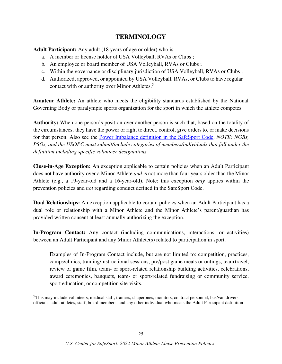# **TERMINOLOGY**

**Adult Participant:** Any adult (18 years of age or older) who is:

- a. A member or license holder of USA Volleyball, RVAs or Clubs ;
- b. An employee or board member of USA Volleyball, RVAs or Clubs ;
- c. Within the governance or disciplinary jurisdiction of USA Volleyball, RVAs or Clubs ;
- d. Authorized, approved, or appointed by USA Volleyball, RVAs, or Clubs to have regular contact with or authority over Minor Athletes.<sup>5</sup>

**Amateur Athlete:** An athlete who meets the eligibility standards established by the National Governing Body or paralympic sports organization for the sport in which the athlete competes.

**Authority:** When one person's position over another person is such that, based on the totality of the circumstances, they have the power or right to direct, control, give orders to, or make decisions for that person. Also see the Power Imbalance definition in the SafeSport Code. *NOTE: NGBs, PSOs, and the USOPC must submit/include categories of members/individuals that fall under the definition including specific volunteer designations.* 

**Close-in-Age Exception:** An exception applicable to certain policies when an Adult Participant does not have authority over a Minor Athlete *and* is not more than four years older than the Minor Athlete (e.g., a 19-year-old and a 16-year-old). Note: this exception *only* applies within the prevention policies and *not* regarding conduct defined in the SafeSport Code.

**Dual Relationships:** An exception applicable to certain policies when an Adult Participant has a dual role or relationship with a Minor Athlete and the Minor Athlete's parent/guardian has provided written consent at least annually authorizing the exception.

**In-Program Contact:** Any contact (including communications, interactions, or activities) between an Adult Participant and any Minor Athlete(s) related to participation in sport.

Examples of In-Program Contact include, but are not limited to: competition, practices, camps/clinics, training/instructional sessions, pre/post game meals or outings, team travel, review of game film, team- or sport-related relationship building activities, celebrations, award ceremonies, banquets, team- or sport-related fundraising or community service, sport education, or competition site visits.

<sup>&</sup>lt;sup>5</sup>This may include volunteers, medical staff, trainers, chaperones, monitors, contract personnel, bus/van drivers, officials, adult athletes, staff, board members, and any other individual who meets the Adult Participant definition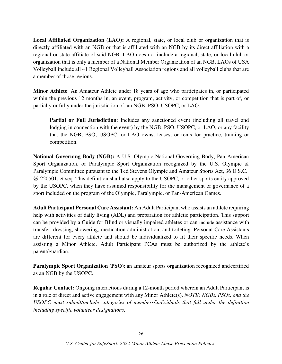**Local Affiliated Organization (LAO):** A regional, state, or local club or organization that is directly affiliated with an NGB or that is affiliated with an NGB by its direct affiliation with a regional or state affiliate of said NGB. LAO does not include a regional, state, or local club or organization that is only a member of a National Member Organization of an NGB. LAOs of USA Volleyball include all 41 Regional Volleyball Association regions and all volleyball clubs that are a member of those regions.

**Minor Athlete**: An Amateur Athlete under 18 years of age who participates in, or participated within the previous 12 months in, an event, program, activity, or competition that is part of, or partially or fully under the jurisdiction of, an NGB, PSO, USOPC, or LAO.

**Partial or Full Jurisdiction**: Includes any sanctioned event (including all travel and lodging in connection with the event) by the NGB, PSO, USOPC, or LAO, or any facility that the NGB, PSO, USOPC, or LAO owns, leases, or rents for practice, training or competition.

**National Governing Body (NGB):** A U.S. Olympic National Governing Body, Pan American Sport Organization, or Paralympic Sport Organization recognized by the U.S. Olympic & Paralympic Committee pursuant to the Ted Stevens Olympic and Amateur Sports Act, 36 U.S.C. §§ 220501, et seq. This definition shall also apply to the USOPC, or other sports entity approved by the USOPC, when they have assumed responsibility for the management or governance of a sport included on the program of the Olympic, Paralympic, or Pan-American Games.

**Adult Participant Personal Care Assistant:** An Adult Participant who assists an athlete requiring help with activities of daily living (ADL) and preparation for athletic participation. This support can be provided by a Guide for Blind or visually impaired athletes or can include assistance with transfer, dressing, showering, medication administration, and toileting. Personal Care Assistants are different for every athlete and should be individualized to fit their specific needs. When assisting a Minor Athlete, Adult Participant PCAs must be authorized by the athlete's parent/guardian.

**Paralympic Sport Organization (PSO):** an amateur sports organization recognized and certified as an NGB by the USOPC.

**Regular Contact:** Ongoing interactions during a 12-month period wherein an Adult Participant is in a role of direct and active engagement with any Minor Athlete(s). *NOTE: NGBs, PSOs, and the USOPC must submit/include categories of members/individuals that fall under the definition including specific volunteer designations.*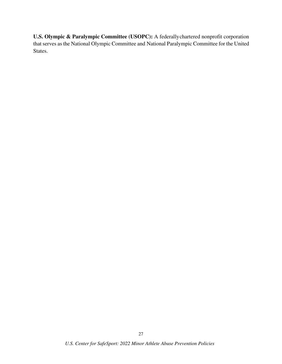**U.S. Olympic & Paralympic Committee (USOPC):** A federally chartered nonprofit corporation that serves as the National Olympic Committee and National Paralympic Committee for the United States.